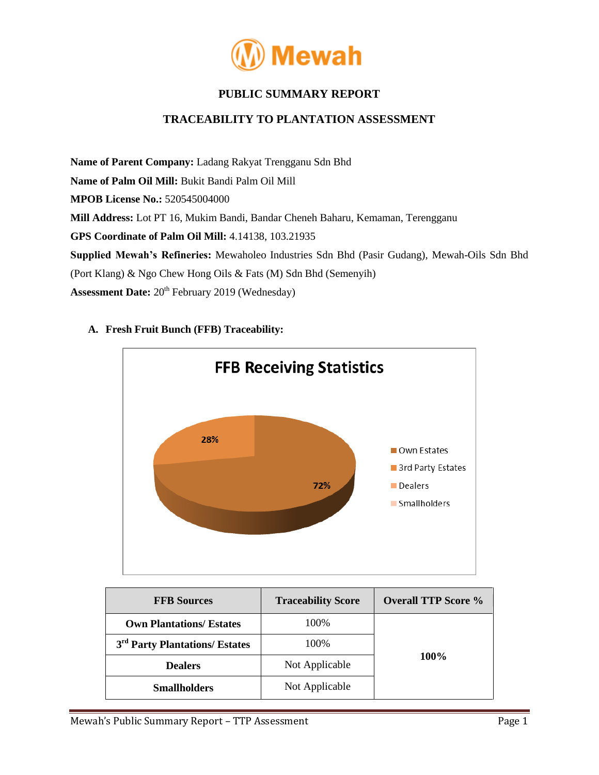

# **PUBLIC SUMMARY REPORT**

## **TRACEABILITY TO PLANTATION ASSESSMENT**

**Name of Parent Company:** Ladang Rakyat Trengganu Sdn Bhd **Name of Palm Oil Mill:** Bukit Bandi Palm Oil Mill **MPOB License No.:** 520545004000 **Mill Address:** Lot PT 16, Mukim Bandi, Bandar Cheneh Baharu, Kemaman, Terengganu **GPS Coordinate of Palm Oil Mill:** 4.14138, 103.21935 **Supplied Mewah's Refineries:** Mewaholeo Industries Sdn Bhd (Pasir Gudang), Mewah-Oils Sdn Bhd (Port Klang) & Ngo Chew Hong Oils & Fats (M) Sdn Bhd (Semenyih) Assessment Date: 20<sup>th</sup> February 2019 (Wednesday)



## **A. Fresh Fruit Bunch (FFB) Traceability:**

| <b>FFB Sources</b>                         | <b>Traceability Score</b> | <b>Overall TTP Score %</b> |  |
|--------------------------------------------|---------------------------|----------------------------|--|
| <b>Own Plantations/ Estates</b>            | 100%                      |                            |  |
| 3 <sup>rd</sup> Party Plantations/ Estates | 100%                      |                            |  |
| <b>Dealers</b>                             | Not Applicable            | 100\%                      |  |
| <b>Smallholders</b>                        | Not Applicable            |                            |  |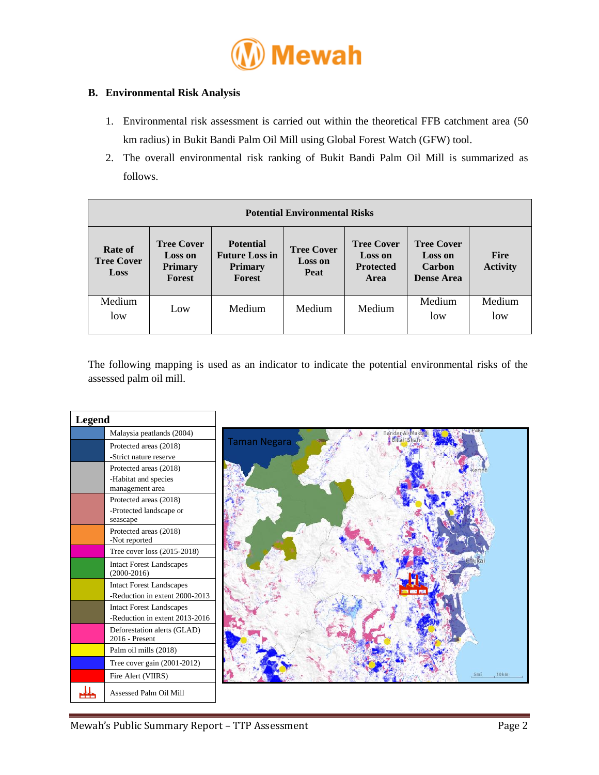

### **B. Environmental Risk Analysis**

- 1. Environmental risk assessment is carried out within the theoretical FFB catchment area (50 km radius) in Bukit Bandi Palm Oil Mill using Global Forest Watch (GFW) tool.
- 2. The overall environmental risk ranking of Bukit Bandi Palm Oil Mill is summarized as follows.

| <b>Potential Environmental Risks</b> |                                                                        |                                                                              |                                             |                                                                 |                                                                    |                                |  |
|--------------------------------------|------------------------------------------------------------------------|------------------------------------------------------------------------------|---------------------------------------------|-----------------------------------------------------------------|--------------------------------------------------------------------|--------------------------------|--|
| Rate of<br><b>Tree Cover</b><br>Loss | <b>Tree Cover</b><br><b>Loss on</b><br><b>Primary</b><br><b>Forest</b> | <b>Potential</b><br><b>Future Loss in</b><br><b>Primary</b><br><b>Forest</b> | <b>Tree Cover</b><br><b>Loss on</b><br>Peat | <b>Tree Cover</b><br><b>Loss on</b><br><b>Protected</b><br>Area | <b>Tree Cover</b><br><b>Loss on</b><br>Carbon<br><b>Dense Area</b> | <b>Fire</b><br><b>Activity</b> |  |
| Medium<br>low                        | Low                                                                    | Medium                                                                       | Medium                                      | Medium                                                          | Medium<br>low                                                      | Medium<br>low                  |  |

The following mapping is used as an indicator to indicate the potential environmental risks of the assessed palm oil mill.